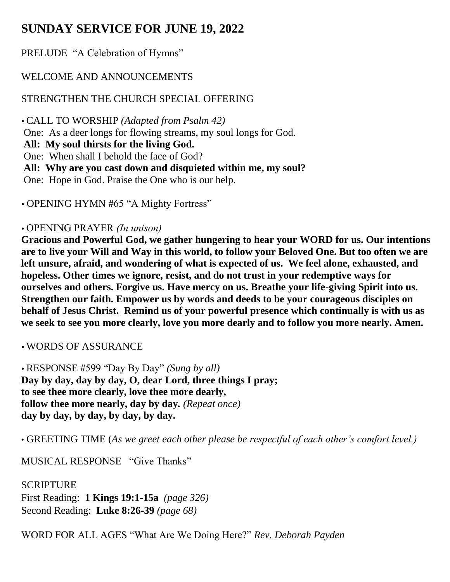# **SUNDAY SERVICE FOR JUNE 19, 2022**

PRELUDE "A Celebration of Hymns"

## WELCOME AND ANNOUNCEMENTS

# STRENGTHEN THE CHURCH SPECIAL OFFERING

 CALL TO WORSHIP *(Adapted from Psalm 42)* One: As a deer longs for flowing streams, my soul longs for God. **All: My soul thirsts for the living God.** One: When shall I behold the face of God? **All: Why are you cast down and disquieted within me, my soul?**  One: Hope in God. Praise the One who is our help.

OPENING HYMN #65 "A Mighty Fortress"

## OPENING PRAYER *(In unison)*

**Gracious and Powerful God, we gather hungering to hear your WORD for us. Our intentions are to live your Will and Way in this world, to follow your Beloved One. But too often we are left unsure, afraid, and wondering of what is expected of us. We feel alone, exhausted, and hopeless. Other times we ignore, resist, and do not trust in your redemptive ways for ourselves and others. Forgive us. Have mercy on us. Breathe your life-giving Spirit into us. Strengthen our faith. Empower us by words and deeds to be your courageous disciples on behalf of Jesus Christ. Remind us of your powerful presence which continually is with us as we seek to see you more clearly, love you more dearly and to follow you more nearly. Amen.**

WORDS OF ASSURANCE

 RESPONSE #599 "Day By Day" *(Sung by all)* **Day by day, day by day, O, dear Lord, three things I pray; to see thee more clearly, love thee more dearly, follow thee more nearly, day by day***. (Repeat once)* **day by day, by day, by day, by day.** 

• GREETING TIME (*As we greet each other please be respectful of each other's comfort level.)*

MUSICAL RESPONSE "Give Thanks"

SCRIPTURE First Reading: **1 Kings 19:1-15a** *(page 326)* Second Reading: **Luke 8:26-39** *(page 68)*

WORD FOR ALL AGES "What Are We Doing Here?" *Rev. Deborah Payden*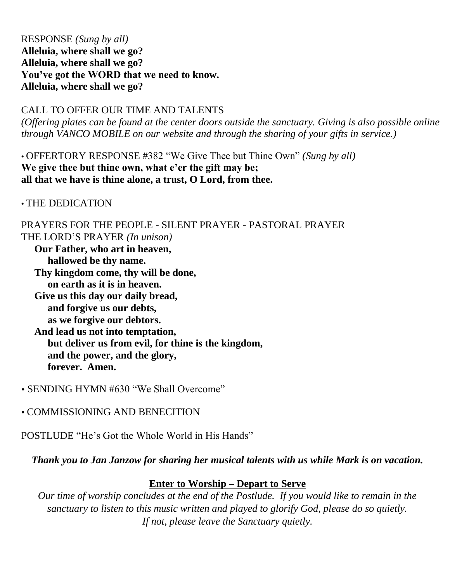#### RESPONSE *(Sung by all)* **Alleluia, where shall we go? Alleluia, where shall we go? You've got the WORD that we need to know. Alleluia, where shall we go?**

CALL TO OFFER OUR TIME AND TALENTS

*(Offering plates can be found at the center doors outside the sanctuary. Giving is also possible online through VANCO MOBILE on our website and through the sharing of your gifts in service.)*

• OFFERTORY RESPONSE #382 "We Give Thee but Thine Own" *(Sung by all)*  **We give thee but thine own, what e'er the gift may be; all that we have is thine alone, a trust, O Lord, from thee.** 

• THE DEDICATION

PRAYERS FOR THE PEOPLE - SILENT PRAYER - PASTORAL PRAYER THE LORD'S PRAYER *(In unison)* **Our Father, who art in heaven, hallowed be thy name. Thy kingdom come, thy will be done, on earth as it is in heaven. Give us this day our daily bread, and forgive us our debts, as we forgive our debtors. And lead us not into temptation, but deliver us from evil, for thine is the kingdom, and the power, and the glory, forever. Amen.** 

• SENDING HYMN #630 "We Shall Overcome"

COMMISSIONING AND BENECITION

POSTLUDE "He's Got the Whole World in His Hands"

*Thank you to Jan Janzow for sharing her musical talents with us while Mark is on vacation.* 

### **Enter to Worship – Depart to Serve**

*Our time of worship concludes at the end of the Postlude. If you would like to remain in the sanctuary to listen to this music written and played to glorify God, please do so quietly. If not, please leave the Sanctuary quietly.*